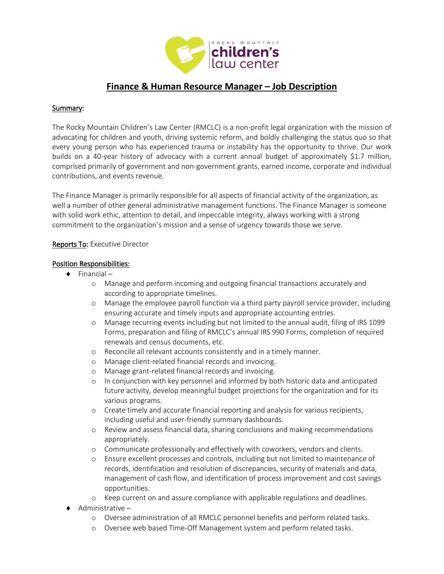

# **Finance & Human Resource Manager – Job Description**

### Summary:

The Rocky Mountain Children's Law Center (RMCLC) is a non-profit legal organization with the mission of advocating for children and youth, driving systemic reform, and boldly challenging the status quo so that every young person who has experienced trauma or instability has the opportunity to thrive. Our work builds on a 40-year history of advocacy with a current annual budget of approximately \$1.7 million, comprised primarily of government and non-government grants, earned income, corporate and individual contributions, and events revenue.

The Finance Manager is primarily responsible for all aspects of financial activity of the organization, as well a number of other general administrative management functions. The Finance Manager is someone with solid work ethic, attention to detail, and impeccable integrity, always working with a strong commitment to the organization's mission and a sense of urgency towards those we serve.

#### Reports To: Executive Director

#### Position Responsibilities:

- $\bullet$  Financial
	- o Manage and perform incoming and outgoing financial transactions accurately and according to appropriate timelines.
	- o Manage the employee payroll function via a third party payroll service provider, including ensuring accurate and timely inputs and appropriate accounting entries.
	- o Manage recurring events including but not limited to the annual audit, filing of IRS 1099 Forms, preparation and filing of RMCLC's annual IRS 990 Forms, completion of required renewals and census documents, etc.
	- o Reconcile all relevant accounts consistently and in a timely manner.
	- o Manage client-related financial records and invoicing.
	- o Manage grant-related financial records and invoicing.
	- o In conjunction with key personnel and informed by both historic data and anticipated future activity, develop meaningful budget projections for the organization and for its various programs.
	- o Create timely and accurate financial reporting and analysis for various recipients, including useful and user-friendly summary dashboards.
	- o Review and assess financial data, sharing conclusions and making recommendations appropriately.
	- o Communicate professionally and effectively with coworkers, vendors and clients.
	- o Ensure excellent processes and controls, including but not limited to maintenance of records, identification and resolution of discrepancies, security of materials and data, management of cash flow, and identification of process improvement and cost savings opportunities.
	- o Keep current on and assure compliance with applicable regulations and deadlines.
- $\triangleleft$  Administrative
	- o Oversee administration of all RMCLC personnel benefits and perform related tasks.
	- o Oversee web based Time-Off Management system and perform related tasks.